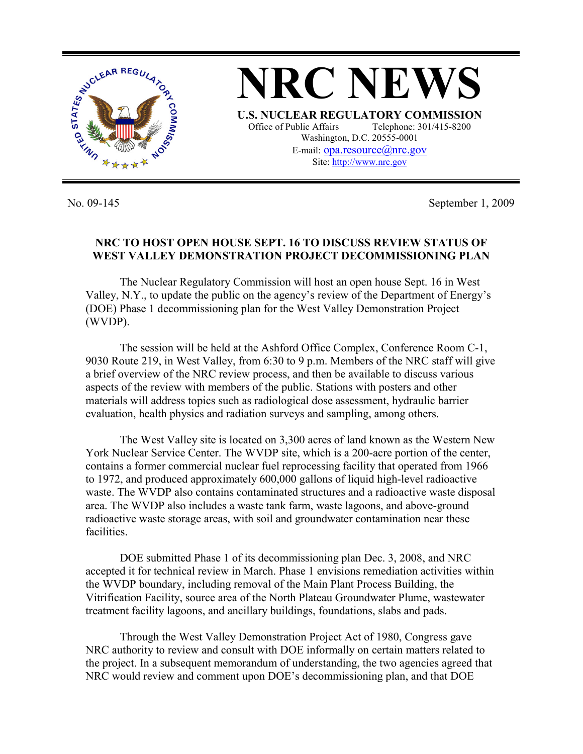

No. 09-145 September 1, 2009

## **NRC TO HOST OPEN HOUSE SEPT. 16 TO DISCUSS REVIEW STATUS OF WEST VALLEY DEMONSTRATION PROJECT DECOMMISSIONING PLAN**

 The Nuclear Regulatory Commission will host an open house Sept. 16 in West Valley, N.Y., to update the public on the agency's review of the Department of Energy's (DOE) Phase 1 decommissioning plan for the West Valley Demonstration Project (WVDP).

 The session will be held at the Ashford Office Complex, Conference Room C-1, 9030 Route 219, in West Valley, from 6:30 to 9 p.m. Members of the NRC staff will give a brief overview of the NRC review process, and then be available to discuss various aspects of the review with members of the public. Stations with posters and other materials will address topics such as radiological dose assessment, hydraulic barrier evaluation, health physics and radiation surveys and sampling, among others.

 The West Valley site is located on 3,300 acres of land known as the Western New York Nuclear Service Center. The WVDP site, which is a 200-acre portion of the center, contains a former commercial nuclear fuel reprocessing facility that operated from 1966 to 1972, and produced approximately 600,000 gallons of liquid high-level radioactive waste. The WVDP also contains contaminated structures and a radioactive waste disposal area. The WVDP also includes a waste tank farm, waste lagoons, and above-ground radioactive waste storage areas, with soil and groundwater contamination near these facilities.

 DOE submitted Phase 1 of its decommissioning plan Dec. 3, 2008, and NRC accepted it for technical review in March. Phase 1 envisions remediation activities within the WVDP boundary, including removal of the Main Plant Process Building, the Vitrification Facility, source area of the North Plateau Groundwater Plume, wastewater treatment facility lagoons, and ancillary buildings, foundations, slabs and pads.

 Through the West Valley Demonstration Project Act of 1980, Congress gave NRC authority to review and consult with DOE informally on certain matters related to the project. In a subsequent memorandum of understanding, the two agencies agreed that NRC would review and comment upon DOE's decommissioning plan, and that DOE